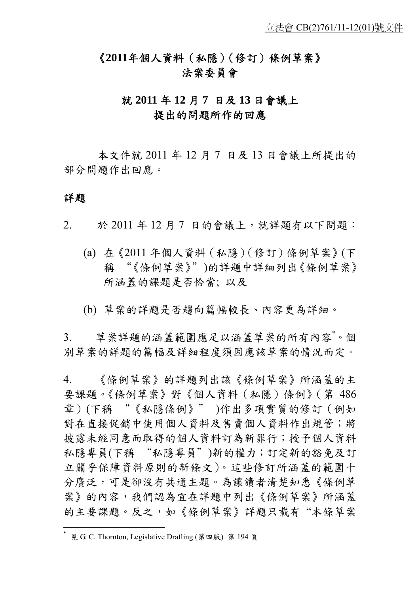# 《**2011**年個人資料(私隱)(修訂)條例草案》 法案委員會

# 就 **2011** 年 **12** 月 **7** 日及 **13** 日會議上 提出的問題所作的回應

本文件就 2011 年 12 月 7 日及 13 日會議上所提出的 部分問題作出回應。

# 詳題

 $\overline{a}$ 

- 2. 於 2011 年 12 月 7 日的會議上,就詳題有以下問題:
	- (a) 在《2011 年個人資料(私隱)(修訂)條例草案》(下 稱 "《條例草案》")的詳題中詳細列出《條例草案》 所涵蓋的課題是否恰當; 以及
	- (b) 草案的詳題是否趨向篇幅較長、內容更為詳細。

3. 草案詳題的涵蓋範圍應足以涵蓋草案的所有內容。個 別草案的詳題的篇幅及詳細程度須因應該草案的情況而定。

4. 《條例草案》的詳題列出該《條例草案》所涵蓋的主 要課題。《條例草案》對《個人資料(私隱)條例》(第 486 章)(下稱 "《私隱條例》" )作出多項實質的修訂(例如 對在直接促銷中使用個人資料及售賣個人資料作出規管;將 披露未經同意而取得的個人資料訂為新罪行;授予個人資料 私隱專員(下稱 "私隱專員")新的權力;訂定新的豁免及訂 立關乎保障資料原則的新條文)。這些修訂所涵蓋的範圍十 分廣泛,可是卻沒有共通主題。為讓讀者清楚知悉《條例草 案》的內容,我們認為宜在詳題中列出《條例草案》所涵蓋 的主要課題。反之,如《條例草案》詳題只載有 "本條草案

見 G. C. Thornton, Legislative Drafting (第四版) 第 194 頁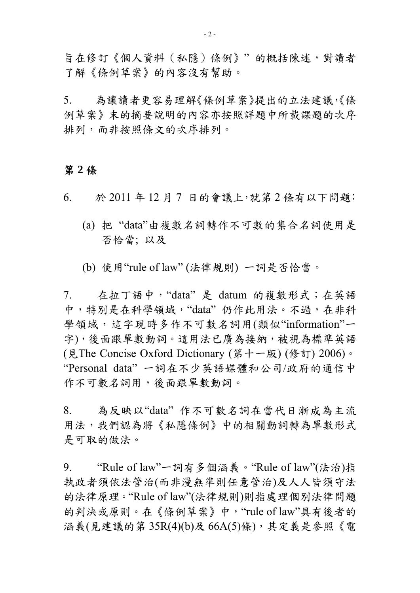旨在修訂《個人資料(私隱)條例》" 的概括陳述,對讀者 了解《條例草案》的內容沒有幫助。

5. 為讓讀者更容易理解《條例草案》提出的立法建議,《條 例草案》末的摘要說明的內容亦按照詳題中所載課題的次序 排列,而非按照條文的次序排列。

## 第 **2** 條

- 6. 於 2011 年 12 月 7 日的會議上,就第 2 條有以下問題:
	- (a) 把 "data"由複數名詞轉作不可數的集合名詞使用是 否恰當; 以及
	- (b) 使用"rule of law" (法律規則) 一詞是否恰當。

7. 在拉丁語中,"data" 是 datum 的複數形式;在英語 中,特別是在科學領域,"data" 仍作此用法。不過,在非科 學領域,這字現時多作不可數名詞用(類似"information"一 字),後面跟單數動詞。這用法已廣為接納,被視為標準英語 (見The Concise Oxford Dictionary (第十一版) (修訂) 2006)。 "Personal data" 一詞在不少英語媒體和公司/政府的通信中 作不可數名詞用,後面跟單數動詞。

8. 為反映以"data" 作不可數名詞在當代日漸成為主流 用法,我們認為將《私隱條例》中的相關動詞轉為單數形式 是可取的做法。

9. "Rule of law"一詞有多個涵義。"Rule of law"(法治)指 執政者須依法管治(而非漫無準則任意管治)及人人皆須守法 的法律原理。"Rule of law"(法律規則)則指處理個別法律問題 的判決或原則。在《條例草案》中,"rule of law"具有後者的 涵義(見建議的第 35R(4)(b)及 66A(5)條),其定義是參照《電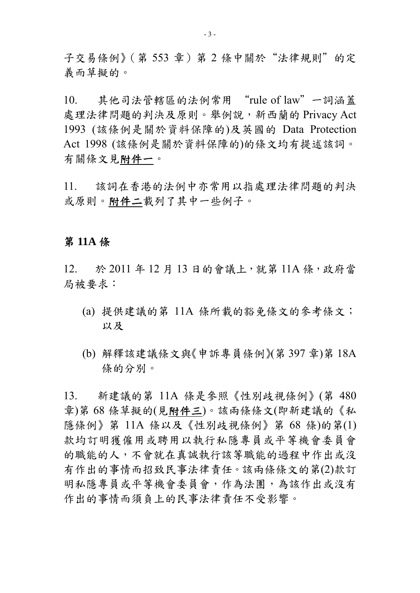子交易條例》(第553章)第2條中關於"法律規則"的定 義而草擬的。

10. 其他司法管轄區的法例常用 "rule of law"一詞涵蓋 處理法律問題的判決及原則。舉例說,新西蘭的 Privacy Act 1993 (該條例是關於資料保障的)及英國的 Data Protection Act 1998 (該條例是關於資料保障的)的條文均有提述該詞。 有關條文見附件一。

11. 該詞在香港的法例中亦常用以指處理法律問題的判決 或原則。附件二載列了其中一些例子。

## 第 **11A** 條

12. 於 2011 年 12 月 13 日的會議上,就第 11A 條,政府當 局被要求:

- (a) 提供建議的第 11A 條所載的豁免條文的參考條文; 以及
- (b) 解釋該建議條文與《申訴專員條例》(第 397 章)第 18A 條的分別。

13. 新建議的第 11A 條是參照《性別歧視條例》(第 480 章)第 68 條草擬的(見附件三)。該兩條條文(即新建議的《私 隱條例》第 11A 條以及《性別歧視條例》第 68 條)的第(1) 款均訂明獲僱用或聘用以執行私隱專員或平等機會委員會 的職能的人,不會就在真誠執行該等職能的過程中作出或沒 有作出的事情而招致民事法律責任。該兩條條文的第(2)款訂 明私隱專員或平等機會委員會,作為法團,為該作出或沒有 作出的事情而須負上的民事法律責任不受影響。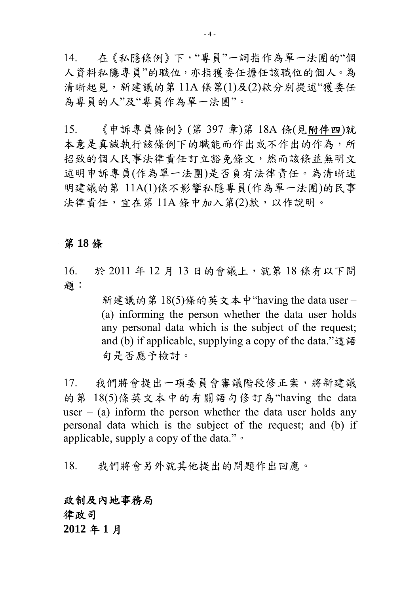14. 在《私隱條例》下,"專員"一詞指作為單一法團的"個 人資料私隱專員"的職位,亦指獲委任擔任該職位的個人。為 清晰起見,新建議的第 11A 條第(1)及(2)款分別提述"獲委任 為專員的人"及"專員作為單一法團"。

15. 《申訴專員條例》(第 397 章)第 18A 條(見附件四)就 本意是真誠執行該條例下的職能而作出或不作出的作為,所 招致的個人民事法律責任訂立豁免條文,然而該條並無明文 述明申訴專員(作為單一法團)是否負有法律責任。為清晰述 明建議的第 11A(1)條不影響私隱專員(作為單一法團)的民事 法律責任,宜在第 11A 條中加入第(2)款,以作說明。

# 第 **18** 條

16. 於 2011 年 12 月 13 日的會議上,就第 18 條有以下問 題:

> 新建議的第 18(5)條的英文本中"having the data user – (a) informing the person whether the data user holds any personal data which is the subject of the request; and (b) if applicable, supplying a copy of the data."這語 句是否應予檢討。

17. 我們將會提出一項委員會審議階段修正案,將新建議 的第 18(5)條英文本中的有關語句修訂為"having the data user – (a) inform the person whether the data user holds any personal data which is the subject of the request; and (b) if applicable, supply a copy of the data."。

18. 我們將會另外就其他提出的問題作出回應。

# 政制及內地事務局

律政司

**2012** 年 **1** 月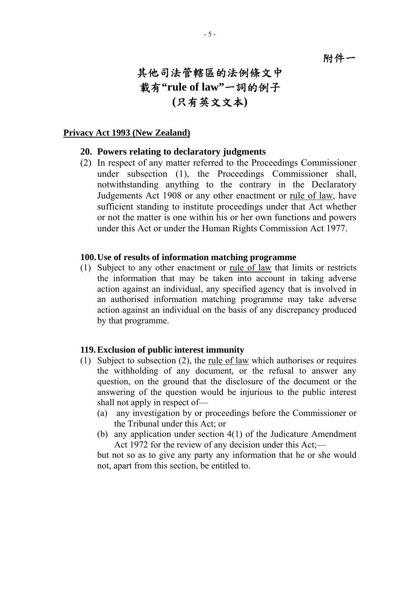附件一

# 其他司法管轄區的法例條文中 載有**"rule of law"**一詞的例子 **(**只有英文文本**)**

#### **Privacy Act 1993 (New Zealand)**

### **20. Powers relating to declaratory judgments**

(2) In respect of any matter referred to the Proceedings Commissioner under subsection (1), the Proceedings Commissioner shall, notwithstanding anything to the contrary in the Declaratory Judgements Act 1908 or any other enactment or rule of law, have sufficient standing to institute proceedings under that Act whether or not the matter is one within his or her own functions and powers under this Act or under the Human Rights Commission Act 1977.

#### **100. Use of results of information matching programme**

(1) Subject to any other enactment or rule of law that limits or restricts the information that may be taken into account in taking adverse action against an individual, any specified agency that is involved in an authorised information matching programme may take adverse action against an individual on the basis of any discrepancy produced by that programme.

#### **119. Exclusion of public interest immunity**

- (1) Subject to subsection (2), the rule of law which authorises or requires the withholding of any document, or the refusal to answer any question, on the ground that the disclosure of the document or the answering of the question would be injurious to the public interest shall not apply in respect of—
	- (a) any investigation by or proceedings before the Commissioner or the Tribunal under this Act; or
	- (b) any application under section 4(1) of the Judicature Amendment Act 1972 for the review of any decision under this Act:—

but not so as to give any party any information that he or she would not, apart from this section, be entitled to.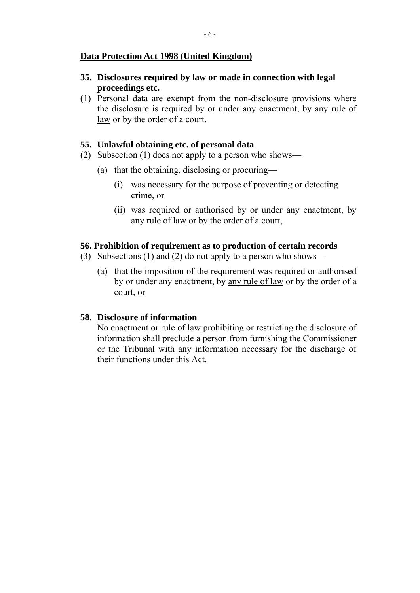## **Data Protection Act 1998 (United Kingdom)**

## **35. Disclosures required by law or made in connection with legal proceedings etc.**

(1) Personal data are exempt from the non-disclosure provisions where the disclosure is required by or under any enactment, by any rule of law or by the order of a court.

## **55. Unlawful obtaining etc. of personal data**

- (2) Subsection (1) does not apply to a person who shows—
	- (a) that the obtaining, disclosing or procuring—
		- (i) was necessary for the purpose of preventing or detecting crime, or
		- (ii) was required or authorised by or under any enactment, by any rule of law or by the order of a court,

### **56. Prohibition of requirement as to production of certain records**

- (3) Subsections (1) and (2) do not apply to a person who shows—
	- (a) that the imposition of the requirement was required or authorised by or under any enactment, by any rule of law or by the order of a court, or

### **58. Disclosure of information**

No enactment or rule of law prohibiting or restricting the disclosure of information shall preclude a person from furnishing the Commissioner or the Tribunal with any information necessary for the discharge of their functions under this Act.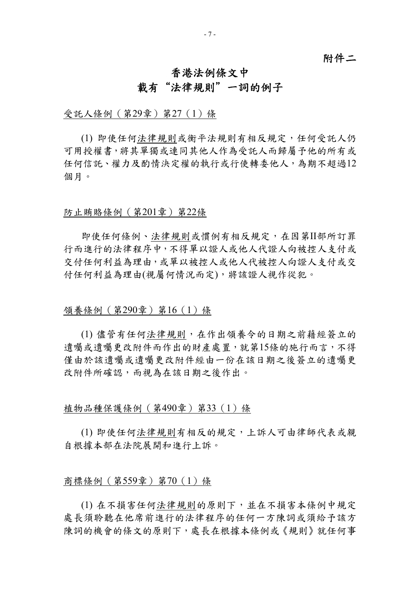## 附件二

# 香港法例條文中 載有"法律規則"一詞的例子

受託人條例(第29章)第27(1)條

(1) 即使任何法律規則或衡平法規則有相反規定,任何受託人仍 可用授權書,將其單獨或連同其他人作為受託人而歸屬予他的所有或 任何信託、權力及酌情決定權的執行或行使轉委他人,為期不超過12 個月。

#### 防止賄賂條例(第201章)第22條

即使任何條例、法律規則或慣例有相反規定,在因第II部所訂罪 行而進行的法律程序中,不得單以證人或他人代證人向被控人支付或 交付任何利益為理由,或單以被控人或他人代被控人向證人支付或交 付任何利益為理由(視屬何情況而定),將該證人視作從犯。

#### 領養條例(第290章)第16(1)條

(1) 儘管有任何法律規則,在作出領養令的日期之前藉經簽立的 遺囑或遺囑更改附件而作出的財產處置,就第15條的施行而言,不得 僅由於該遺囑或遺囑更改附件經由一份在該日期之後簽立的遺囑更 改附件所確認,而視為在該日期之後作出。

### 植物品種保護條例(第490章)第33(1)條

(1) 即使任何法律規則有相反的規定,上訴人可由律師代表或親 自根據本部在法院展開和進行上訴。

### 商標條例(第559章)第70(1)條

(1) 在不損害任何法律規則的原則下,並在不損害本條例中規定 處長須聆聽在他席前進行的法律程序的任何一方陳詞或須給予該方 陳詞的機會的條文的原則下,處長在根據本條例或《規則》就任何事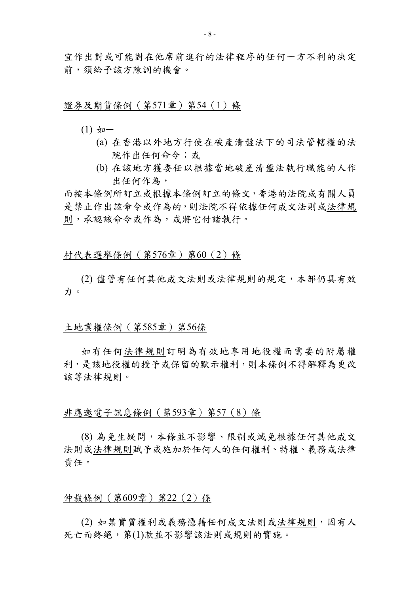宜作出對或可能對在他席前進行的法律程序的任何一方不利的決定 前,須給予該方陳詞的機會。

#### 證券及期貨條例(第571章)第54(1)條

- $(1)$   $\frac{1}{2}$ 
	- (a) 在香港以外地方行使在破產清盤法下的司法管轄權的法 院作出任何命令;或
	- (b) 在該地方獲委任以根據當地破產清盤法執行職能的人作 出任何作為,

而按本條例所訂立或根據本條例訂立的條文,香港的法院或有關人員 是禁止作出該命令或作為的,則法院不得依據任何成文法則或法律規 則,承認該命令或作為,或將它付諸執行。

#### 村代表選舉條例(第576章)第60(2)條

(2) 儘管有任何其他成文法則或法律規則的規定,本部仍具有效 力。

# 土地業權條例(第585章)第56條

如有任何法律規則訂明為有效地享用地役權而需要的附屬權 利,是該地役權的授予或保留的默示權利,則本條例不得解釋為更改 該等法律規則。

### 非應邀電子訊息條例(第593章)第57(8)條

(8) 為免生疑問,本條並不影響、限制或減免根據任何其他成文 法則或法律規則賦予或施加於任何人的任何權利、特權、義務或法律 責任。

#### 仲裁條例(第609章)第22(2)條

(2) 如某實質權利或義務憑藉任何成文法則或法律規則,因有人 死亡而終絕, 第(1)款並不影響該法則或規則的實施。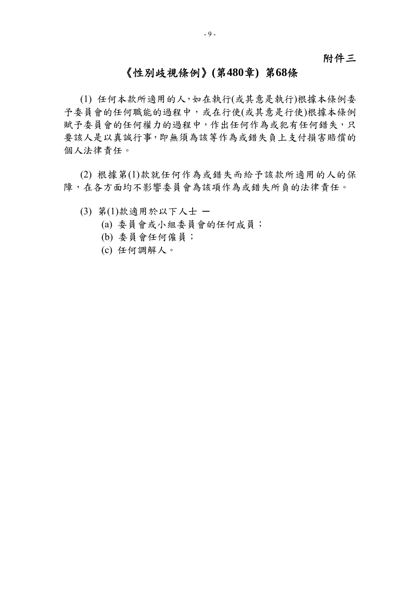# 附件三

# 《性別歧視條例》**(**第**480**章**)** 第**68**條

(1) 任何本款所適用的人,如在執行(或其意是執行)根據本條例委 予委員會的任何職能的過程中,或在行使(或其意是行使)根據本條例 賦予委員會的任何權力的過程中,作出任何作為或犯有任何錯失,只 要該人是以真誠行事,即無須為該等作為或錯失負上支付損害賠償的 個人法律責任。

(2) 根據第(1)款就任何作為或錯失而給予該款所適用的人的保 障,在各方面均不影響委員會為該項作為或錯失所負的法律責任。

- (3) 第(1)款適用於以下人士 ─
	- (a) 委員會或小組委員會的任何成員;
	- (b) 委員會任何僱員;
	- (c) 任何調解人。